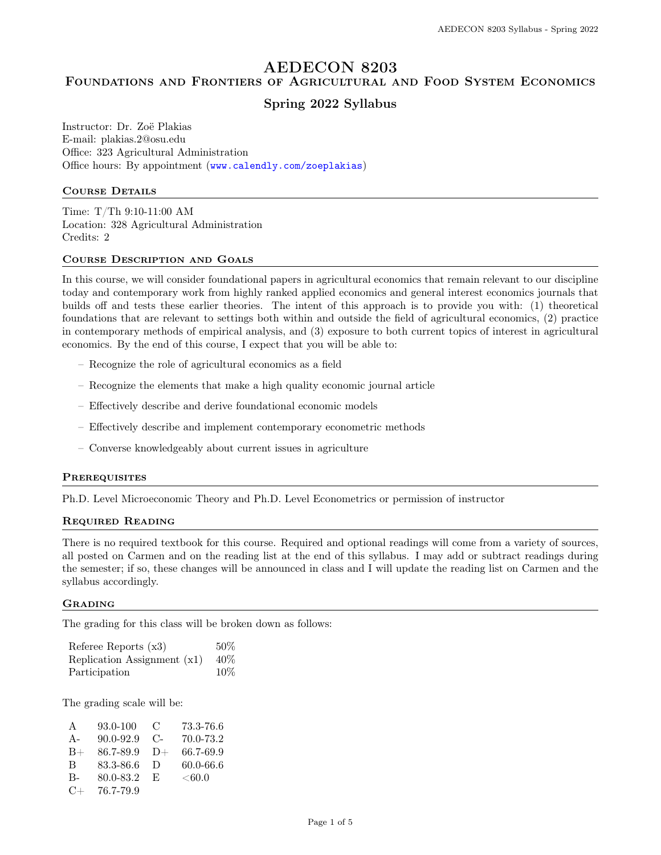# AEDECON 8203

# Foundations and Frontiers of Agricultural and Food System Economics

# Spring 2022 Syllabus

Instructor: Dr. Zoë Plakias E-mail: plakias.2@osu.edu Office: 323 Agricultural Administration Office hours: By appointment (<www.calendly.com/zoeplakias>)

### COURSE DETAILS

Time: T/Th 9:10-11:00 AM Location: 328 Agricultural Administration Credits: 2

#### Course Description and Goals

In this course, we will consider foundational papers in agricultural economics that remain relevant to our discipline today and contemporary work from highly ranked applied economics and general interest economics journals that builds off and tests these earlier theories. The intent of this approach is to provide you with: (1) theoretical foundations that are relevant to settings both within and outside the field of agricultural economics, (2) practice in contemporary methods of empirical analysis, and (3) exposure to both current topics of interest in agricultural economics. By the end of this course, I expect that you will be able to:

- Recognize the role of agricultural economics as a field
- Recognize the elements that make a high quality economic journal article
- Effectively describe and derive foundational economic models
- Effectively describe and implement contemporary econometric methods
- Converse knowledgeably about current issues in agriculture

#### **PREREQUISITES**

Ph.D. Level Microeconomic Theory and Ph.D. Level Econometrics or permission of instructor

#### Required Reading

There is no required textbook for this course. Required and optional readings will come from a variety of sources, all posted on Carmen and on the reading list at the end of this syllabus. I may add or subtract readings during the semester; if so, these changes will be announced in class and I will update the reading list on Carmen and the syllabus accordingly.

#### **GRADING**

The grading for this class will be broken down as follows:

| Referee Reports $(x3)$      | 50%    |
|-----------------------------|--------|
| Replication Assignment (x1) | 40%    |
| Participation               | $10\%$ |

The grading scale will be:

| A         | $93.0 - 100$  | - C        | 73.3-76.6     |
|-----------|---------------|------------|---------------|
| $A -$     | $90.0 - 92.9$ | $C_{\tau}$ | 70.0-73.2     |
| $B+$      | 86.7-89.9     | $D+$       | 66.7-69.9     |
| B         | 83.3-86.6     | - D        | $60.0 - 66.6$ |
| В-        | 80.0-83.2     | - F.       | < 60.0        |
| $C_{\pm}$ | 76.7-79.9     |            |               |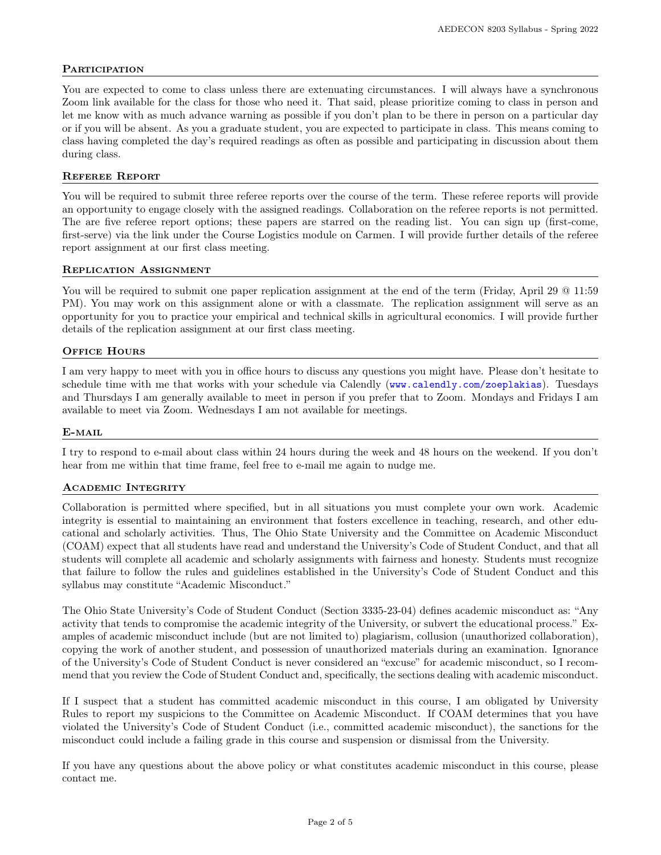## **PARTICIPATION**

You are expected to come to class unless there are extenuating circumstances. I will always have a synchronous Zoom link available for the class for those who need it. That said, please prioritize coming to class in person and let me know with as much advance warning as possible if you don't plan to be there in person on a particular day or if you will be absent. As you a graduate student, you are expected to participate in class. This means coming to class having completed the day's required readings as often as possible and participating in discussion about them during class.

#### Referee Report

You will be required to submit three referee reports over the course of the term. These referee reports will provide an opportunity to engage closely with the assigned readings. Collaboration on the referee reports is not permitted. The are five referee report options; these papers are starred on the reading list. You can sign up (first-come, first-serve) via the link under the Course Logistics module on Carmen. I will provide further details of the referee report assignment at our first class meeting.

#### Replication Assignment

You will be required to submit one paper replication assignment at the end of the term (Friday, April 29  $@$  11:59 PM). You may work on this assignment alone or with a classmate. The replication assignment will serve as an opportunity for you to practice your empirical and technical skills in agricultural economics. I will provide further details of the replication assignment at our first class meeting.

## OFFICE HOURS

I am very happy to meet with you in office hours to discuss any questions you might have. Please don't hesitate to schedule time with me that works with your schedule via Calendly (<www.calendly.com/zoeplakias>). Tuesdays and Thursdays I am generally available to meet in person if you prefer that to Zoom. Mondays and Fridays I am available to meet via Zoom. Wednesdays I am not available for meetings.

#### E-mail

I try to respond to e-mail about class within 24 hours during the week and 48 hours on the weekend. If you don't hear from me within that time frame, feel free to e-mail me again to nudge me.

#### Academic Integrity

Collaboration is permitted where specified, but in all situations you must complete your own work. Academic integrity is essential to maintaining an environment that fosters excellence in teaching, research, and other educational and scholarly activities. Thus, The Ohio State University and the Committee on Academic Misconduct (COAM) expect that all students have read and understand the University's Code of Student Conduct, and that all students will complete all academic and scholarly assignments with fairness and honesty. Students must recognize that failure to follow the rules and guidelines established in the University's Code of Student Conduct and this syllabus may constitute "Academic Misconduct."

The Ohio State University's Code of Student Conduct (Section 3335-23-04) defines academic misconduct as: "Any activity that tends to compromise the academic integrity of the University, or subvert the educational process." Examples of academic misconduct include (but are not limited to) plagiarism, collusion (unauthorized collaboration), copying the work of another student, and possession of unauthorized materials during an examination. Ignorance of the University's Code of Student Conduct is never considered an "excuse" for academic misconduct, so I recommend that you review the Code of Student Conduct and, specifically, the sections dealing with academic misconduct.

If I suspect that a student has committed academic misconduct in this course, I am obligated by University Rules to report my suspicions to the Committee on Academic Misconduct. If COAM determines that you have violated the University's Code of Student Conduct (i.e., committed academic misconduct), the sanctions for the misconduct could include a failing grade in this course and suspension or dismissal from the University.

If you have any questions about the above policy or what constitutes academic misconduct in this course, please contact me.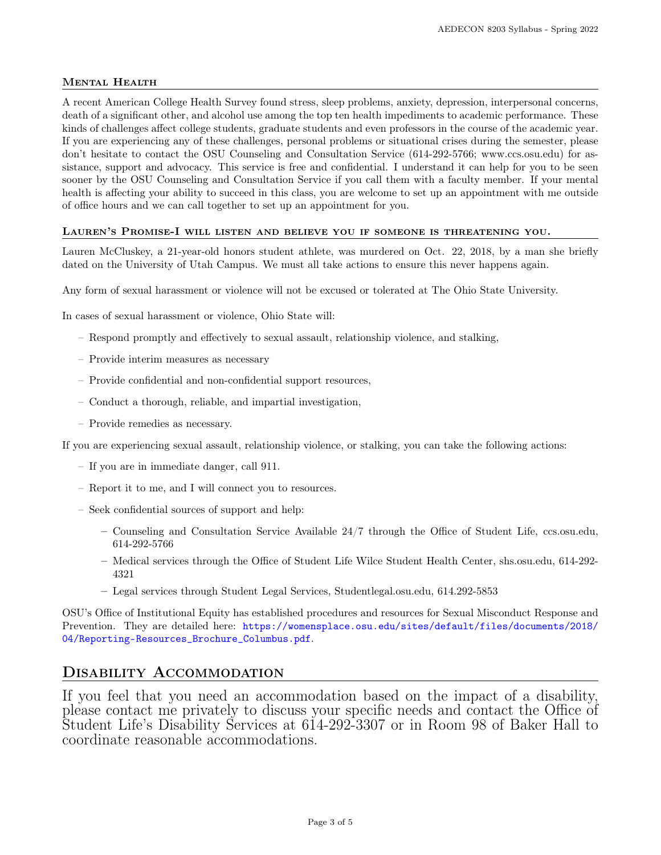# Mental Health

A recent American College Health Survey found stress, sleep problems, anxiety, depression, interpersonal concerns, death of a significant other, and alcohol use among the top ten health impediments to academic performance. These kinds of challenges affect college students, graduate students and even professors in the course of the academic year. If you are experiencing any of these challenges, personal problems or situational crises during the semester, please don't hesitate to contact the OSU Counseling and Consultation Service (614-292-5766; www.ccs.osu.edu) for assistance, support and advocacy. This service is free and confidential. I understand it can help for you to be seen sooner by the OSU Counseling and Consultation Service if you call them with a faculty member. If your mental health is affecting your ability to succeed in this class, you are welcome to set up an appointment with me outside of office hours and we can call together to set up an appointment for you.

## Lauren's Promise-I will listen and believe you if someone is threatening you.

Lauren McCluskey, a 21-year-old honors student athlete, was murdered on Oct. 22, 2018, by a man she briefly dated on the University of Utah Campus. We must all take actions to ensure this never happens again.

Any form of sexual harassment or violence will not be excused or tolerated at The Ohio State University.

In cases of sexual harassment or violence, Ohio State will:

- Respond promptly and effectively to sexual assault, relationship violence, and stalking,
- Provide interim measures as necessary
- Provide confidential and non-confidential support resources,
- Conduct a thorough, reliable, and impartial investigation,
- Provide remedies as necessary.

If you are experiencing sexual assault, relationship violence, or stalking, you can take the following actions:

- If you are in immediate danger, call 911.
- Report it to me, and I will connect you to resources.
- Seek confidential sources of support and help:
	- Counseling and Consultation Service Available 24/7 through the Office of Student Life, ccs.osu.edu, 614-292-5766
	- Medical services through the Office of Student Life Wilce Student Health Center, shs.osu.edu, 614-292- 4321
	- Legal services through Student Legal Services, Studentlegal.osu.edu, 614.292-5853

OSU's Office of Institutional Equity has established procedures and resources for Sexual Misconduct Response and Prevention. They are detailed here: [https://womensplace.osu.edu/sites/default/files/documents/2018/](https://womensplace.osu.edu/sites/default/files/documents/2018/04/Reporting-Resources_Brochure_Columbus.pdf) [04/Reporting-Resources\\_Brochure\\_Columbus.pdf](https://womensplace.osu.edu/sites/default/files/documents/2018/04/Reporting-Resources_Brochure_Columbus.pdf).

# Disability Accommodation

If you feel that you need an accommodation based on the impact of a disability, please contact me privately to discuss your specific needs and contact the Office of Student Life's Disability Services at 614-292-3307 or in Room 98 of Baker Hall to coordinate reasonable accommodations.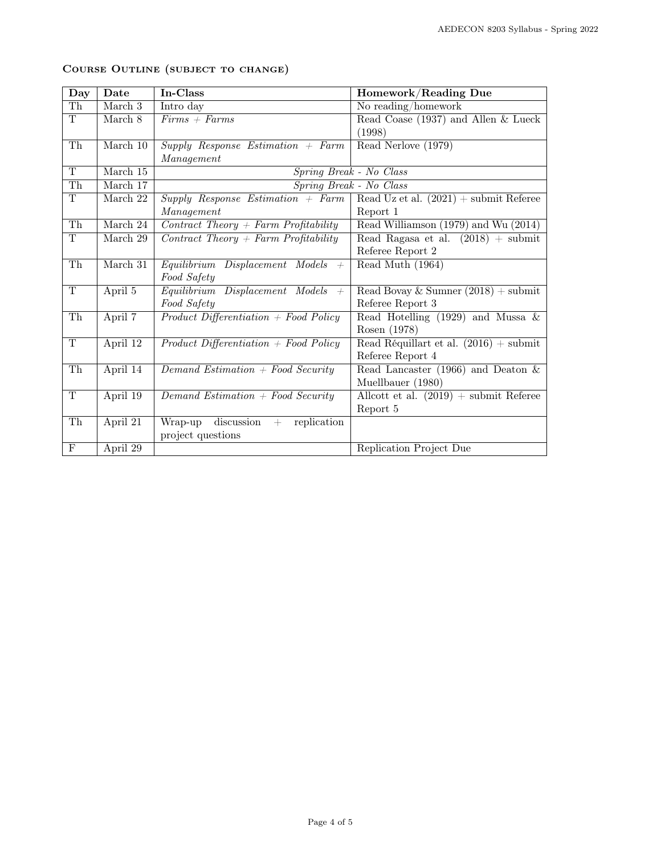| Day                     | Date       | $In-Class$                                  | Homework/Reading Due                     |  |
|-------------------------|------------|---------------------------------------------|------------------------------------------|--|
| Th                      | March 3    | Intro day                                   | No reading/homework                      |  |
| $\overline{\mathrm{T}}$ | March $8$  | $Firms + Farms$                             | Read Coase (1937) and Allen & Lueck      |  |
|                         |            |                                             | (1998)                                   |  |
| Th                      | March 10   | $Supply$ Response Estimation + Farm         | Read Nerlove (1979)                      |  |
|                         |            | Management                                  |                                          |  |
| T                       | March 15   |                                             | Spring Break - No Class                  |  |
| Th                      | March 17   |                                             | Spring Break - No Class                  |  |
| T                       | March 22   | $Supply$ Response Estimation + Farm         | Read Uz et al. $(2021)$ + submit Referee |  |
|                         |            | Management                                  | Report 1                                 |  |
| $\overline{\text{Th}}$  | March 24   | $Contract\ Theory + Farm\ Profitability$    | Read Williamson (1979) and Wu (2014)     |  |
| T                       | March 29   | $Contract\ Theory + Farm\ Profitability$    | Read Ragasa et al. $(2018)$ + submit     |  |
|                         |            |                                             | Referee Report 2                         |  |
| $\overline{\text{Th}}$  | March $31$ | Equilibrium<br>Displacement Models<br>$+$   | Read Muth (1964)                         |  |
|                         |            | Food Safety                                 |                                          |  |
| T                       | April 5    | Equilibrium Displacement Models<br>$+$      | Read Bovay & Sumner $(2018) +$ submit    |  |
|                         |            | Food Safety                                 | Referee Report 3                         |  |
| $\overline{\text{Th}}$  | April 7    | $Product\ Differentiation + Food \ Policy$  | Read Hotelling (1929) and Mussa $\&$     |  |
|                         |            |                                             | Rosen (1978)                             |  |
| T                       | April 12   | $Product\ Differentiation + Food \ Policy$  | Read Réquillart et al. $(2016) +$ submit |  |
|                         |            |                                             | Referee Report 4                         |  |
| Th                      | April 14   | $Demand$ Estimation + Food Security         | Read Lancaster (1966) and Deaton $\&$    |  |
|                         |            |                                             | Muellbauer (1980)                        |  |
| $\overline{T}$          | April 19   | Demand Estimation $+$ Food Security         | Allcott et al. $(2019)$ + submit Referee |  |
|                         |            |                                             | Report 5                                 |  |
| Th                      | April 21   | discussion<br>Wrap-up<br>replication<br>$+$ |                                          |  |
|                         |            | project questions                           |                                          |  |
| $\mathbf{F}$            | April 29   |                                             | Replication Project Due                  |  |

# Course Outline (subject to change)